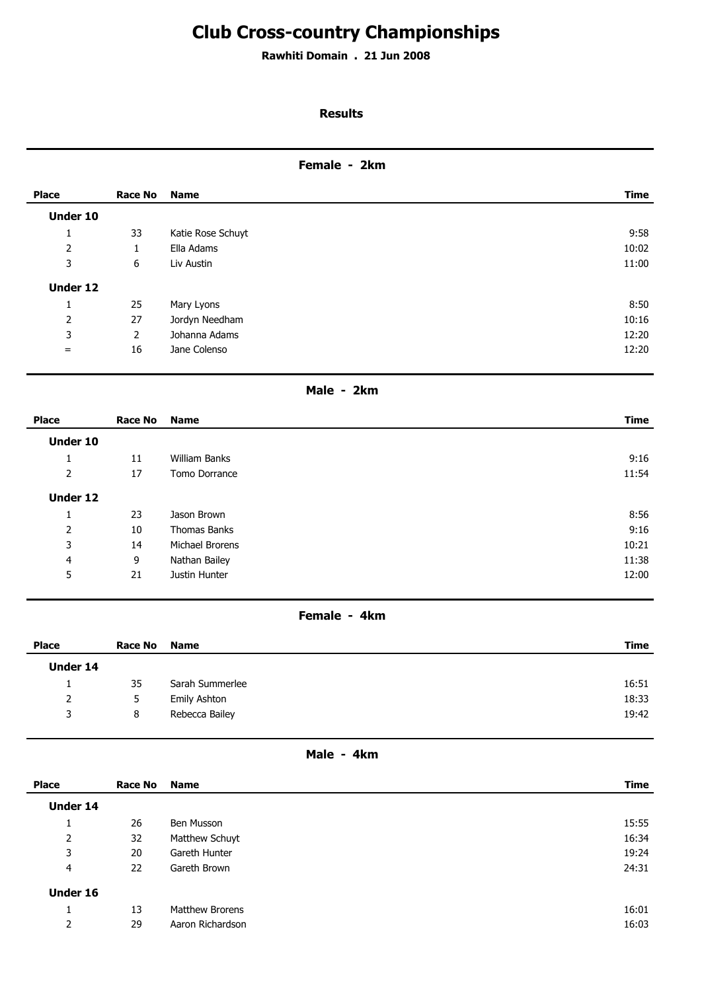# **Club Cross-country Championships**

**Rawhiti Domain . 21 Jun 2008**

# **Results**

# **Female - 2km**

| <b>Place</b>   | <b>Race No</b> | <b>Name</b>       | <b>Time</b> |
|----------------|----------------|-------------------|-------------|
| Under 10       |                |                   |             |
| л.             | 33             | Katie Rose Schuyt | 9:58        |
| 2              | 1<br>Ŧ.        | Ella Adams        | 10:02       |
| 3              | 6              | Liv Austin        | 11:00       |
| Under 12       |                |                   |             |
| л.             | 25             | Mary Lyons        | 8:50        |
| $\overline{2}$ | 27             | Jordyn Needham    | 10:16       |
| 3              | $\overline{2}$ | Johanna Adams     | 12:20       |
| $=$            | 16             | Jane Colenso      | 12:20       |
|                |                |                   |             |

# **Male - 2km**

| <b>Place</b> | Race No | Name            | <b>Time</b> |
|--------------|---------|-----------------|-------------|
| Under 10     |         |                 |             |
| <b>I</b>     | 11      | William Banks   | 9:16        |
| 2            | 17      | Tomo Dorrance   | 11:54       |
| Under 12     |         |                 |             |
| J.           | 23      | Jason Brown     | 8:56        |
| 2            | 10      | Thomas Banks    | 9:16        |
| 3            | 14      | Michael Brorens | 10:21       |
| 4            | 9       | Nathan Bailey   | 11:38       |
| 5            | 21      | Justin Hunter   | 12:00       |

#### **Female - 4km**

| <b>Place</b> | Race No | <b>Name</b>     | <b>Time</b> |
|--------------|---------|-----------------|-------------|
| Under 14     |         |                 |             |
| <b>.</b>     | 35      | Sarah Summerlee | 16:51       |
| 2            | C       | Emily Ashton    | 18:33       |
| 3            | 8       | Rebecca Bailey  | 19:42       |

# **Male - 4km**

| <b>Place</b>   | Race No | <b>Name</b>      | <b>Time</b> |
|----------------|---------|------------------|-------------|
| Under 14       |         |                  |             |
| л.             | 26      | Ben Musson       | 15:55       |
| $\overline{2}$ | 32      | Matthew Schuyt   | 16:34       |
| 3              | 20      | Gareth Hunter    | 19:24       |
| 4              | 22      | Gareth Brown     | 24:31       |
| Under 16       |         |                  |             |
| л.             | 13      | Matthew Brorens  | 16:01       |
| 2              | 29      | Aaron Richardson | 16:03       |
|                |         |                  |             |